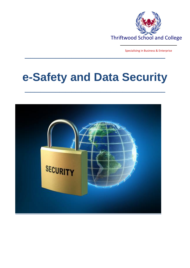

Specialising in Business & Enterprise

# **e-Safety and Data Security**

**\_\_\_\_\_\_\_\_\_\_\_\_\_\_\_\_\_\_\_\_\_\_\_\_\_\_\_\_\_\_\_\_\_\_\_\_\_\_\_\_\_\_\_\_\_\_\_\_\_\_\_\_\_\_\_\_\_\_\_\_\_\_\_\_\_\_\_\_\_\_\_\_**

**\_\_\_\_\_\_\_\_\_\_\_\_\_\_\_\_\_\_\_\_\_\_\_\_\_\_\_\_\_\_\_\_\_\_\_\_\_\_\_\_\_\_\_\_\_\_\_\_\_\_\_\_\_\_\_\_\_\_\_\_\_\_\_\_\_\_\_\_\_\_\_\_**

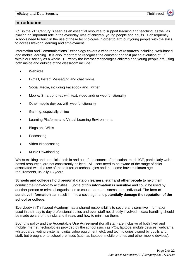# **Introduction**

ICT in the 21st Century is seen as an essential resource to support learning and teaching, as well as playing an important role in the everyday lives of children, young people and adults. Consequently, schools need to build in the use of these technologies in order to arm our young people with the skills to access life-long learning and employment.

Information and Communications Technology covers a wide range of resources including; web-based and mobile learning. It is also important to recognise the constant and fast paced evolution of ICT within our society as a whole. Currently the internet technologies children and young people are using both inside and outside of the classroom include:

- **Websites**
- E-mail, Instant Messaging and chat rooms
- Social Media, including Facebook and Twitter
- Mobile/ Smart phones with text, video and/ or web functionality
- Other mobile devices with web functionality
- Gaming, especially online
- Learning Platforms and Virtual Learning Environments
- Blogs and Wikis
- Podcasting
- Video Broadcasting
- Music Downloading

Whilst exciting and beneficial both in and out of the context of education, much ICT, particularly webbased resources, are not consistently policed. All users need to be aware of the range of risks associated with the use of these Internet technologies and that some have minimum age requirements, usually 13 years.

**Schools and colleges hold personal data on learners, staff and other people** to help them conduct their day-to-day activities. Some of this **information is sensitive** and could be used by another person or criminal organisation to cause harm or distress to an individual. The **loss of sensitive information** can result in media coverage, and **potentially damage the reputation of the school or college**.

Everybody in Thriftwood Academy has a shared responsibility to secure any sensitive information used in their day to day professional duties and even staff not directly involved in data handling should be made aware of the risks and threats and how to minimise them.

Both this policy and the **Acceptable Use Agreement** (for all staff) are inclusive of both fixed and mobile internet; technologies provided by the school (such as PCs, laptops, mobile devices, webcams, whiteboards, voting systems, digital video equipment, etc); and technologies owned by pupils and staff, but brought onto school premises (such as laptops, mobile phones and other mobile devices).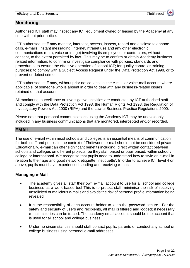# **Monitoring**

Authorised ICT staff may inspect any ICT equipment owned or leased by the Academy at any time without prior notice.

ICT authorised staff may monitor, intercept, access, inspect, record and disclose telephone calls, e-mails, instant messaging, internet/intranet use and any other electronic communications (data, voice or image) involving its employees or contractors, without consent, to the extent permitted by law. This may be to confirm or obtain Academy business related information; to confirm or investigate compliance with policies, standards and procedures; to ensure the effective operation of school ICT; for quality control or training purposes; to comply with a Subject Access Request under the Data Protection Act 1998, or to prevent or detect crime.

ICT authorised staff may, without prior notice, access the e-mail or voice-mail account where applicable, of someone who is absent in order to deal with any business-related issues retained on that account.

All monitoring, surveillance or investigative activities are conducted by ICT authorised staff and comply with the Data Protection Act 1998, the Human Rights Act 1998, the Regulation of Investigatory Powers Act 2000 (RIPA) and the Lawful Business Practice Regulations 2000.

Please note that personal communications using the Academy ICT may be unavoidably included in any business communications that are monitored, intercepted and/or recorded.

# **EMAIL**

The use of e-mail within most schools and colleges is an essential means of communication for both staff and pupils. In the context of Thriftwood, e-mail should not be considered private. Educationally, e-mail can offer significant benefits including; direct written contact between schools and colleges on different projects, be they staff based or pupil based, within school / college or international. We recognise that pupils need to understand how to style an e-mail in relation to their age and good network etiquette; 'netiquette'. In order to achieve ICT level 4 or above, pupils must have experienced sending and receiving e-mails.

# **Managing e-Mail**

- The academy gives all staff their own e-mail account to use for all school and college business as a work based tool This is to protect staff, minimise the risk of receiving unsolicited or malicious e-mails and avoids the risk of personal profile information being revealed
- It is the responsibility of each account holder to keep the password secure. For the safety and security of users and recipients, all mail is filtered and logged; if necessary e-mail histories can be traced. The academy email account should be the account that is used for all school and college business
- Under no circumstances should staff contact pupils, parents or conduct any school or college business using personal e-mail addresses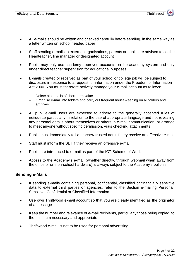- All e-mails should be written and checked carefully before sending, in the same way as a letter written on school headed paper
- Staff sending e-mails to external organisations, parents or pupils are advised to cc. the Headteacher, line manager or designated account
- Pupils may only use academy approved accounts on the academy system and only under direct teacher supervision for educational purposes
- E-mails created or received as part of your school or college job will be subject to disclosure in response to a request for information under the Freedom of Information Act 2000. You must therefore actively manage your e-mail account as follows:
	- Delete all e-mails of short-term value
	- Organise e-mail into folders and carry out frequent house-keeping on all folders and archives
- All pupil e-mail users are expected to adhere to the generally accepted rules of netiquette particularly in relation to the use of appropriate language and not revealing any personal details about themselves or others in e-mail communication, or arrange to meet anyone without specific permission, virus checking attachments
- Pupils must immediately tell a teacher/ trusted adult if they receive an offensive e-mail
- Staff must inform the SLT if they receive an offensive e-mail
- Pupils are introduced to e-mail as part of the ICT Scheme of Work
- Access to the Academy's e-mail (whether directly, through webmail when away from the office or on non-school hardware) is always subject to the Academy's policies.

## **Sending e-Mails**

- If sending e-mails containing personal, confidential, classified or financially sensitive data to external third parties or agencies, refer to the Section e-mailing Personal, Sensitive, Confidential or Classified Information
- Use own Thriftwood e-mail account so that you are clearly identified as the originator of a message
- Keep the number and relevance of e-mail recipients, particularly those being copied, to the minimum necessary and appropriate
- Thriftwood e-mail is not to be used for personal advertising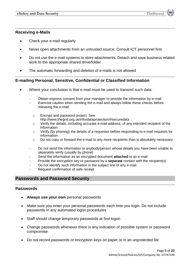## **Receiving e-Mails**

- Check your e-mail regularly
- Never open attachments from an untrusted source; Consult ICT personnel first.
- Do not use the e-mail systems to store attachments. Detach and save business related work to the appropriate shared drive/folder
- The automatic forwarding and deletion of e-mails is not allowed

# **E-mailing Personal, Sensitive, Confidential or Classified Information**

- Where your conclusion is that e-mail must be used to transmit such data:
	- Obtain express consent from your manager to provide the information by e-mail
	- Exercise caution when sending the e-mail and always follow these checks before releasing the e-mail:
		- o Encrypt and password protect. See http://www.thegrid.org.uk/info/dataprotection/#securedata
		- o Verify the details, including accurate e-mail address, of any intended recipient of the information
		- $\circ$  Verify (by phoning) the details of a requestor before responding to e-mail requests for information
	- $\circ$  Do not copy or forward the e-mail to any more recipients than is absolutely necessary
	- Do not send the information to anybody/person whose details you have been unable to separately verify (usually by phone)
	- Send the information as an encrypted document **attached** to an e-mail
	- Provide the encryption key or password by a **separate** contact with the recipient(s)
	- Do not identify such information in the subject line of any e-mail
	- Request confirmation of safe receipt

# **Passwords and Password Security**

#### **Passwords**

- **Always use your own** personal passwords
- Make sure you enter your personal passwords each time you login. Do not include passwords in any automated logon procedures
- Staff should change temporary passwords at first logon
- Change passwords whenever there is any indication of possible system or password compromise
- Do not record passwords or encryption keys on paper or in an unprotected file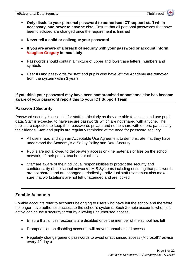- **Only disclose your personal password to authorised ICT support staff when necessary, and never to anyone else**. Ensure that all personal passwords that have been disclosed are changed once the requirement is finished
- **Never tell a child or colleague your password**
- **If you are aware of a breach of security with your password or account inform Vaughan Gregory immediately**
- Passwords should contain a mixture of upper and lowercase letters, numbers and symbols
- User ID and passwords for staff and pupils who have left the Academy are removed from the system within 3 years

# **If you think your password may have been compromised or someone else has become aware of your password report this to your ICT Support Team**

# **Password Security**

Password security is essential for staff, particularly as they are able to access and use pupil data. Staff is expected to have secure passwords which are not shared with anyone. The pupils are expected to keep their passwords private and not to share with others, particularly their friends. Staff and pupils are regularly reminded of the need for password security

- All users read and sign an Acceptable Use Agreement to demonstrate that they have understood the Academy's e-Safety Policy and Data Security
- Pupils are not allowed to deliberately access on-line materials or files on the school network, of their peers, teachers or others
- Staff are aware of their individual responsibilities to protect the security and confidentiality of the school networks, MIS Systems including ensuring that passwords are not shared and are changed periodically. Individual staff users must also make sure that workstations are not left unattended and are locked.

# **Zombie Accounts**

Zombie accounts refer to accounts belonging to users who have left the school and therefore no longer have authorised access to the school's systems. Such Zombie accounts when left active can cause a security threat by allowing unauthorised access.

- Ensure that all user accounts are disabled once the member of the school has left
- Prompt action on disabling accounts will prevent unauthorised access
- Regularly change generic passwords to avoid unauthorised access (Microsoft© advise every 42 days)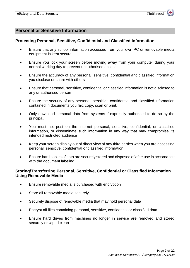# **Personal or Sensitive Information**

## **Protecting Personal, Sensitive, Confidential and Classified Information**

- Ensure that any school information accessed from your own PC or removable media equipment is kept secure
- Ensure you lock your screen before moving away from your computer during your normal working day to prevent unauthorised access
- Ensure the accuracy of any personal, sensitive, confidential and classified information you disclose or share with others
- Ensure that personal, sensitive, confidential or classified information is not disclosed to any unauthorised person
- Ensure the security of any personal, sensitive, confidential and classified information contained in documents you fax, copy, scan or print.
- Only download personal data from systems if expressly authorised to do so by the principal.
- You must not post on the internet personal, sensitive, confidential, or classified information, or disseminate such information in any way that may compromise its intended restricted audience
- Keep your screen display out of direct view of any third parties when you are accessing personal, sensitive, confidential or classified information
- Ensure hard copies of data are securely stored and disposed of after use in accordance with the document labeling

# **Storing/Transferring Personal, Sensitive, Confidential or Classified Information Using Removable Media**

- Ensure removable media is purchased with encryption
- Store all removable media securely
- Securely dispose of removable media that may hold personal data
- Encrypt all files containing personal, sensitive, confidential or classified data
- Ensure hard drives from machines no longer in service are removed and stored securely or wiped clean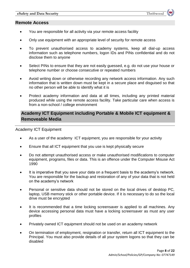## **Remote Access**

- You are responsible for all activity via your remote access facility
- Only use equipment with an appropriate level of security for remote access
- To prevent unauthorised access to academy systems, keep all dial-up access information such as telephone numbers, logon IDs and PINs confidential and do not disclose them to anyone
- Select PINs to ensure that they are not easily quessed, e.g. do not use your house or telephone number or choose consecutive or repeated numbers
- Avoid writing down or otherwise recording any network access information. Any such information that is written down must be kept in a secure place and disguised so that no other person will be able to identify what it is
- Protect academy information and data at all times, including any printed material produced while using the remote access facility. Take particular care when access is from a non-school / college environment

# **Academy ICT Equipment including Portable & Mobile ICT equipment & Removeable Media**

#### Academy ICT Equipment

- As a user of the academy ICT equipment, you are responsible for your activity
- Ensure that all ICT equipment that you use is kept physically secure
- Do not attempt unauthorised access or make unauthorised modifications to computer equipment, programs, files or data. This is an offence under the Computer Misuse Act 1990
- It is imperative that you save your data on a frequent basis to the academy's network. You are responsible for the backup and restoration of any of your data that is not held on the academy's network
- Personal or sensitive data should not be stored on the local drives of desktop PC, laptop, USB memory stick or other portable device. If it is necessary to do so the local drive must be encrypted
- It is recommended that a time locking screensaver is applied to all machines. Any device accessing personal data must have a locking screensaver as must any user profiles
- Privately owned ICT equipment should not be used on an academy network
- On termination of employment, resignation or transfer, return all ICT equipment to the Principal. You must also provide details of all your system logons so that they can be disabled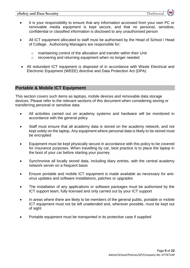- It is your responsibility to ensure that any information accessed from your own PC or removable media equipment is kept secure, and that no personal, sensitive, confidential or classified information is disclosed to any unauthorised person
- All ICT equipment allocated to staff must be authorised by the Head of School / Head of College. Authorising Managers are responsible for:
	- o maintaining control of the allocation and transfer within their Unit
	- o recovering and returning equipment when no longer needed
- All redundant ICT equipment is disposed of in accordance with Waste Electrical and Electronic Equipment (WEEE) directive and Data Protection Act (DPA)

# **Portable & Mobile ICT Equipment**

This section covers such items as laptops, mobile devices and removable data storage devices. Please refer to the relevant sections of this document when considering storing or transferring personal or sensitive data

- All activities carried out on academy systems and hardware will be monitored in accordance with the general policy
- Staff must ensure that all academy data is stored on the academy network, and not kept solely on the laptop. Any equipment where personal data is likely to be stored must be encrypted
- Equipment must be kept physically secure in accordance with this policy to be covered for insurance purposes. When travelling by car, best practice is to place the laptop in the boot of your car before starting your journey
- Synchronise all locally stored data, including diary entries, with the central academy network server on a frequent basis
- Ensure portable and mobile ICT equipment is made available as necessary for antivirus updates and software installations, patches or upgrades
- The installation of any applications or software packages must be authorised by the ICT support team, fully licensed and only carried out by your ICT support
- In areas where there are likely to be members of the general public, portable or mobile ICT equipment must not be left unattended and, wherever possible, must be kept out of sight
- Portable equipment must be transported in its protective case if supplied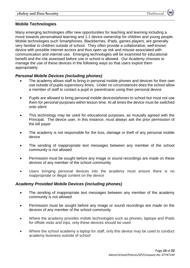# **Mobile Technologies**

Many emerging technologies offer new opportunities for teaching and learning including a move towards personalised learning and 1:1 device ownership for children and young people. Mobile technologies such Smartphones, Blackberries, iPads, games players, are generally very familiar to children outside of school. They often provide a collaborative, well-known device with possible internet access and thus open up risk and misuse associated with communication and internet use. Emerging technologies will be examined for educational benefit and the risk assessed before use in school is allowed. Our Academy chooses to manage the use of these devices in the following ways so that users exploit them appropriately.

# *Personal Mobile Devices (including phones)*

- The academy allows staff to bring in personal mobile phones and devices for their own use outside of pupils supervisory times. Under no circumstances does the school allow a member of staff to contact a pupil or parent/carer using their personal device
- Pupils are allowed to bring personal mobile devices/phones to school but must not use them for personal purposes within lesson time. At all times the device must be switched onto silent
- This technology may be used for educational purposes, as mutually agreed with the Principal.The device user, in this instance, must always ask the prior permission of the bill payer
- The academy is not responsible for the loss, damage or theft of any personal mobile device
- The sending of inappropriate text messages between any member of the school community is not allowed
- Permission must be sought before any image or sound recordings are made on these devices of any member of the school community
- Users bringing personal devices into the academy must ensure there is no inappropriate or illegal content on the device

# *Academy Provided Mobile Devices (including phones)*

- The sending of inappropriate text messages between any member of the academy community is not allowed
- Permission must be sought before any image or sound recordings are made on the devices of any member of the school community
- Where the academy provides mobile technologies such as phones, laptops and iPads for offsite visits and trips, only these devices should be used
- Where the school academy a laptop for staff, only this device may be used to conduct academy business outside of school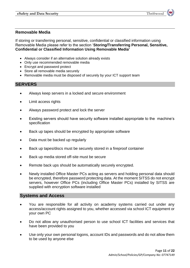## **Removable Media**

If storing or transferring personal, sensitive, confidential or classified information using Removable Media please refer to the section '**Storing/Transferring Personal, Sensitive, Confidential or Classified Information Using Removable Media'**

- Always consider if an alternative solution already exists
- Only use recommended removable media
- Encrypt and password protect
- Store all removable media securely
- Removable media must be disposed of securely by your ICT support team

## **SERVERS**

- Always keep servers in a locked and secure environment
- Limit access rights
- Always password protect and lock the server
- Existing servers should have security software installed appropriate to the machine's specification
- Back up tapes should be encrypted by appropriate software
- Data must be backed up regularly
- Back up tapes/discs must be securely stored in a fireproof container
- Back up media stored off-site must be secure
- Remote back ups should be automatically securely encrypted.
- Newly installed Office Master PCs acting as servers and holding personal data should be encrypted, therefore password protecting data. At the moment SITSS do not encrypt servers, however Office PCs (including Office Master PCs) installed by SITSS are supplied with encryption software installed

## **Systems and Access**

- You are responsible for all activity on academy systems carried out under any access/account rights assigned to you, whether accessed via school ICT equipment or your own PC
- Do not allow any unauthorised person to use school ICT facilities and services that have been provided to you
- Use only your own personal logons, account IDs and passwords and do not allow them to be used by anyone else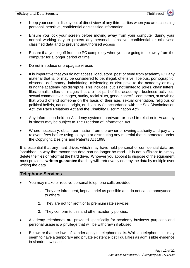- Keep your screen display out of direct view of any third parties when you are accessing personal, sensitive, confidential or classified information
- Ensure you lock your screen before moving away from your computer during your normal working day to protect any personal, sensitive, confidential or otherwise classified data and to prevent unauthorised access
- Ensure that you logoff from the PC completely when you are going to be away from the computer for a longer period of time
- Do not introduce or propagate viruses
- It is imperative that you do not access, load, store, post or send from academy ICT any material that is, or may be considered to be, illegal, offensive, libelous, pornographic, obscene, defamatory, intimidating, misleading or disruptive to the academy or may bring the academy into disrepute. This includes, but is not limited to, jokes, chain letters, files, emails, clips or images that are not part of the academy's business activities; sexual comments or images, nudity, racial slurs, gender specific comments, or anything that would offend someone on the basis of their age, sexual orientation, religious or political beliefs, national origin, or disability (in accordance with the Sex Discrimination Act, the Race Relations Act and the Disability Discrimination Act)
- Any information held on Academy systems, hardware or used in relation to Academy business may be subject to The Freedom of Information Act
- Where necessary, obtain permission from the owner or owning authority and pay any relevant fees before using, copying or distributing any material that is protected under the Copyright, Designs and Patents Act 1998

It is essential that any hard drives which may have held personal or confidential data are 'scrubbed' in way that means the data can no longer be read. It is not sufficient to simply delete the files or reformat the hard drive. Whoever you appoint to dispose of the equipment must provide a **written guarantee** that they will irretrievably destroy the data by multiple over writing the data.

# **Telephone Services**

- You may make or receive personal telephone calls provided:
	- 1. They are infrequent, kept as brief as possible and do not cause annoyance to others
	- 2. They are not for profit or to premium rate services
	- 3. They conform to this and other academy policies.
- Academy telephones are provided specifically for academy business purposes and personal usage is a privilege that will be withdrawn if abused
- Be aware that the laws of slander apply to telephone calls. Whilst a telephone call may seem to have a temporary and private existence it still qualifies as admissible evidence in slander law cases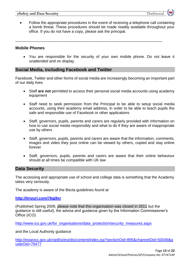• Follow the appropriate procedures in the event of receiving a telephone call containing a bomb threat. These procedures should be made readily available throughout your office. If you do not have a copy, please ask the principal.

\_\_\_\_\_\_\_\_\_\_\_\_\_\_\_\_\_\_\_\_\_\_\_\_\_\_\_\_\_\_\_\_\_\_\_\_\_\_\_\_\_\_\_\_\_\_\_\_\_\_\_\_\_\_\_\_\_\_\_\_\_\_\_\_\_\_\_\_\_

## **Mobile Phones**

 You are responsible for the security of your own mobile phone. Do not leave it unattended and on display

# **Social Media, including Facebook and Twitter**

Facebook, Twitter and other forms of social media are increasingly becoming an important part of our daily lives

- Staff **are not** permitted to access their personal social media accounts using academy equipment
- Staff need to seek permission from the Principal to be able to setup social media accounts, using their academy email address, in order to be able to teach pupils the safe and responsible use of Facebook or other applications
- Staff, governors, pupils, parents and carers are regularly provided with information on how to use social media responsibly and what to do if they are aware of inappropriate use by others
- Staff, governors, pupils, parents and carers are aware that the information, comments, images and video they post online can be viewed by others, copied and stay online forever
- Staff, governors, pupils, parents and carers are aware that their online behaviour should at all times be compatible with UK law

## **Data Security**

The accessing and appropriate use of school and college data is something that the Academy takes very seriously.

The academy is aware of the Becta guidelines found at

**<http://tinyurl.com/76gj9xr>**

(Published Spring 2009, please note that this organisation was closed in 2011 but the guidance is still useful), the advice and guidance given by the Information Commissioner's Office (ICO)

[http://www.ico.gov.uk/for\\_organisations/data\\_protection/security\\_measures.aspx](http://www.ico.gov.uk/for_organisations/data_protection/security_measures.aspx)

and the Local Authority guidance

[http://essexcc.gov.uk/vip8/si/esi/dis/content/index.jsp?sectionOid=895&channelOid=50049&g](http://essexcc.gov.uk/vip8/si/esi/dis/content/index.jsp?sectionOid=895&channelOid=50049&guideOid=79477) [uideOid=79477](http://essexcc.gov.uk/vip8/si/esi/dis/content/index.jsp?sectionOid=895&channelOid=50049&guideOid=79477)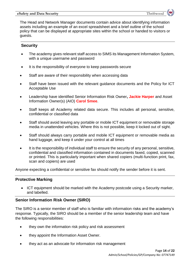#### **eSafety and Data Security** Thriftwood

The Head and Network Manager documents contain advice about identifying information assets including an example of an excel spreadsheet and a brief outline of the school policy that can be displayed at appropriate sites within the school or handed to visitors or guests.

# **Security**

- The academy gives relevant staff access to SIMS its Management Information System, with a unique username and password
- It is the responsibility of everyone to keep passwords secure
- Staff are aware of their responsibility when accessing data
- Staff have been issued with the relevant guidance documents and the Policy for ICT Acceptable Use
- Leadership have identified Senior Information Risk Owner**, Jackie Harper** and Asset Information Owner(s) (AIO) **Carol Smee**.
- Staff keeps all Academy related data secure. This includes all personal, sensitive, confidential or classified data
- Staff should avoid leaving any portable or mobile ICT equipment or removable storage media in unattended vehicles. Where this is not possible, keep it locked out of sight.
- Staff should always carry portable and mobile ICT equipment or removable media as hand luggage, and keep it under your control at all times
- It is the responsibility of individual staff to ensure the security of any personal, sensitive, confidential and classified information contained in documents faxed, copied, scanned or printed. This is particularly important when shared copiers (multi-function print, fax, scan and copiers) are used

Anyone expecting a confidential or sensitive fax should notify the sender before it is sent.

# **Protective Marking**

• ICT equipment should be marked with the Academy postcode using a Security marker, and labelled.

# **Senior Information Risk Owner (SIRO)**

The SIRO is a senior member of staff who is familiar with information risks and the academy's response. Typically, the SIRO should be a member of the senior leadership team and have the following responsibilities:

- they own the information risk policy and risk assessment
- they appoint the Information Asset Owner.
- they act as an advocate for information risk management

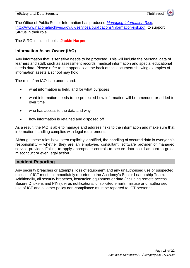

The Office of Public Sector Information has produced *[Managing Information Risk](http://www.nationalarchives.gov.uk/services/publications/information-risk.pdf)*, [\[http://www.nationalarchives.gov.uk/services/publications/information-risk.pdf\]](http://www.nationalarchives.gov.uk/services/publications/information-risk.pdf) to support SIROs in their role.

The SIRO in this school is **Jackie Harper**

# **Information Asset Owner (IAO)**

Any information that is sensitive needs to be protected. This will include the personal data of learners and staff; such as assessment records, medical information and special educational needs data. Please refer to the appendix at the back of this document showing examples of information assets a school may hold.

The role of an IAO is to understand:

- what information is held, and for what purposes
- what information needs to be protected how information will be amended or added to over time
- who has access to the data and why
- how information is retained and disposed off

As a result, the IAO is able to manage and address risks to the information and make sure that information handling complies with legal requirements.

Although these roles have been explicitly identified, the handling of secured data is everyone's responsibility – whether they are an employee, consultant, software provider of managed service provider. Failing to apply appropriate controls to secure data could amount to gross misconduct or even legal action.

# **Incident Reporting**

Any security breaches or attempts, loss of equipment and any unauthorised use or suspected misuse of ICT must be immediately reported to the Academy's Senior Leadership Team. Additionally, all security breaches, lost/stolen equipment or data (including remote access SecureID tokens and PINs), virus notifications, unsolicited emails, misuse or unauthorised use of ICT and all other policy non-compliance must be reported to ICT personnel.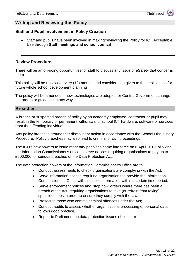# **Writing and Reviewing this Policy**

# **Staff and Pupil Involvement in Policy Creation**

 Staff and pupils have been involved in making/reviewing the Policy for ICT Acceptable Use through **Staff meetings and school council**

# **Review Procedure**

There will be an on-going opportunities for staff to discuss any issue of eSafety that concerns them

This policy will be reviewed every (12) months and consideration given to the implications for future whole school development planning

The policy will be amended if new technologies are adopted or Central Government change the orders or guidance in any way.

## **Breaches**

A breach or suspected breach of policy by an academy employee, contractor or pupil may result in the temporary or permanent withdrawal of school ICT hardware, software or services from the offending individual.

Any policy breach is grounds for disciplinary action in accordance with the School Disciplinary Procedure. Policy breaches may also lead to criminal or civil proceedings.

The ICO's new powers to issue monetary penalties came into force on 6 April 2010, allowing the Information Commissioner's office to serve notices requiring organisations to pay up to £500,000 for serious breaches of the Data Protection Act.

The data protection powers of the Information Commissioner's Office are to:

- Conduct assessments to check organisations are complying with the Act;
- Serve information notices requiring organisations to provide the Information Commissioner's Office with specified information within a certain time period;
- Serve enforcement notices and 'stop now' orders where there has been a breach of the Act, requiring organisations to take (or refrain from taking) specified steps in order to ensure they comply with the law;
- Prosecute those who commit criminal offences under the Act:
- Conduct audits to assess whether organisations processing of personal data follows good practice,
- Report to Parliament on data protection issues of concern

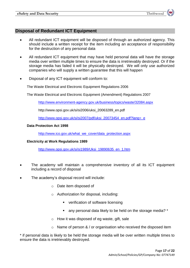# **Disposal of Redundant ICT Equipment**

- All redundant ICT equipment will be disposed of through an authorized agency. This should include a written receipt for the item including an acceptance of responsibility for the destruction of any personal data
- All redundant ICT equipment that may have held personal data will have the storage media over written multiple times to ensure the data is irretrievably destroyed. Or if the storage media has failed it will be physically destroyed. We will only use authorized companies who will supply a written guarantee that this will happen
- Disposal of any ICT equipment will conform to:

The Waste Electrical and Electronic Equipment Regulations 2006

The Waste Electrical and Electronic Equipment (Amendment) Regulations 2007

<http://www.environment-agency.gov.uk/business/topics/waste/32084.aspx>

http://www.opsi.gov.uk/si/si2006/uksi\_20063289\_en.pdf

[http://www.opsi.gov.uk/si/si2007/pdf/uksi\\_20073454\\_en.pdf?lang=\\_e](http://www.opsi.gov.uk/si/si2007/pdf/uksi_20073454_en.pdf?lang=_e)

#### **Data Protection Act 1998**

[http://www.ico.gov.uk/what\\_we\\_cover/data\\_protection.aspx](http://www.ico.gov.uk/what_we_cover/data_protection.aspx)

## **Electricity at Work Regulations 1989**

[http://www.opsi.gov.uk/si/si1989/Uksi\\_19890635\\_en\\_1.htm](http://www.opsi.gov.uk/si/si1989/Uksi_19890635_en_1.htm)

- The academy will maintain a comprehensive inventory of all its ICT equipment including a record of disposal
- The academy's disposal record will include:
	- o Date item disposed of
	- o Authorization for disposal, including:
		- **verification of software licensing**
		- any personal data likely to be held on the storage media? <sup>\*</sup>
	- $\circ$  How it was disposed of eg waste, gift, sale
	- $\circ$  Name of person & / or organisation who received the disposed item

\* if personal data is likely to be held the storage media will be over written multiple times to ensure the data is irretrievably destroyed.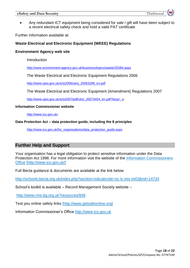#### **eSafety and Data Security** Thriftwood



 Any redundant ICT equipment being considered for sale / gift will have been subject to a recent electrical safety check and hold a valid PAT certificate

Further information available at:

## **Waste Electrical and Electronic Equipment (WEEE) Regulations**

#### **Environment Agency web site**

Introduction

<http://www.environment-agency.gov.uk/business/topics/waste/32084.aspx>

The Waste Electrical and Electronic Equipment Regulations 2006

[http://www.opsi.gov.uk/si/si2006/uksi\\_20063289\\_en.pdf](http://www.opsi.gov.uk/si/si2006/uksi_20063289_en.pdf)

The Waste Electrical and Electronic Equipment (Amendment) Regulations 2007

[http://www.opsi.gov.uk/si/si2007/pdf/uksi\\_20073454\\_en.pdf?lang=\\_e](http://www.opsi.gov.uk/si/si2007/pdf/uksi_20073454_en.pdf?lang=_e)

#### **Information Commissioner website**

<http://www.ico.gov.uk/>

#### **Data Protection Act – data protection guide, including the 8 principles**

[http://www.ico.gov.uk/for\\_organisations/data\\_protection\\_guide.aspx](http://www.ico.gov.uk/for_organisations/data_protection_guide.aspx)

# **Further Help and Support**

Your organisation has a legal obligation to protect sensitive information under the Data Protection Act 1998. For more information visit the website of the Information Commissioners Office [http://www.ico.gov.uk/]

Full Becta guidance & documents are available at the link below

<http://schools.becta.org.uk/index.php?section=iv&catcode=ss> Iv mis im03&rid=14734

School's toolkit is available – Record Management Society website –

http://www.rms-bg.org.uk?resources/848

Test you online safety links [http://www.getsafeonline.org]

Information Commissioner's Office [http://www.ico.gov.uk](http://www.ico.gov.uk/)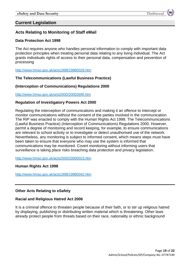# **Current Legislation**

# **Acts Relating to Monitoring of Staff eMail**

## **Data Protection Act 1998**

The Act requires anyone who handles personal information to comply with important data protection principles when treating personal data relating to any living individual. The Act grants individuals rights of access to their personal data, compensation and prevention of processing

<http://www.hmso.gov.uk/acts1998/19980029.htm>

## **The Telecommunications (Lawful Business Practice)**

## **(Interception of Communications) Regulations 2000**

<http://www.hmso.gov.uk/si/si2000/20002699.htm>

## **Regulation of Investigatory Powers Act 2000**

Regulating the interception of communications and making it an offence to intercept or monitor communications without the consent of the parties involved in the communication. The RIP was enacted to comply with the Human Rights Act 1998. The Telecommunications (Lawful Business Practice) (Interception of Communications) Regulations 2000. However, permit a degree of monitoring and record keeping, for example, to ensure communications are relevant to school activity or to investigate or detect unauthorised use of the network. Nevertheless, any monitoring is subject to informed consent, which means steps must have been taken to ensure that everyone who may use the system is informed that communications may be monitored. Covert monitoring without informing users that surveillance is taking place risks breaching data protection and privacy legislation.

<http://www.hmso.gov.uk/acts2000/20000023.htm>

#### **Human Rights Act 1998**

<http://www.hmso.gov.uk/acts1998/19980042.htm>

## **Other Acts Relating to eSafety**

## **Racial and Religious Hatred Act 2006**

It is a criminal offence to threaten people because of their faith, or to stir up religious hatred by displaying, publishing or distributing written material which is threatening. Other laws already protect people from threats based on their race, nationality or ethnic background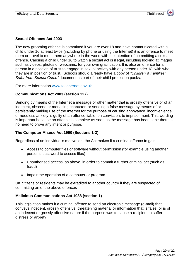## **Sexual Offences Act 2003**

The new grooming offence is committed if you are over 18 and have communicated with a child under 16 at least twice (including by phone or using the Internet) it is an offence to meet them or travel to meet them anywhere in the world with the intention of committing a sexual offence. Causing a child under 16 to watch a sexual act is illegal, including looking at images such as videos, photos or webcams, for your own gratification. It is also an offence for a person in a position of trust to engage in sexual activity with any person under 18, with who they are in position of trust. Schools should already have a copy of *"Children & Families: Safer from Sexual Crime"* document as part of their child protection packs.

For more information [www.teachernet.gov.uk](http://www.teachernet.gov.uk/)

## **Communications Act 2003 (section 127)**

Sending by means of the Internet a message or other matter that is grossly offensive or of an indecent, obscene or menacing character; or sending a false message by means of or persistently making use of the Internet for the purpose of causing annoyance, inconvenience or needless anxiety is guilty of an offence liable, on conviction, to imprisonment, This wording is important because an offence is complete as soon as the message has been sent: there is no need to prove any intent or purpose.

## **The Computer Misuse Act 1990 (Sections 1-3)**

Regardless of an individual's motivation, the Act makes it a criminal offence to gain:

- Access to computer files or software without permission (for example using another person's password to access files)
- Unauthorised access, as above, in order to commit a further criminal act (such as fraud)
- Impair the operation of a computer or program

UK citizens or residents may be extradited to another country if they are suspected of committing an of the above offences

## **Malicious Communications Act 1988 (section 1)**

This legislation makes it a criminal offence to send an electronic message (e-mail) that conveys indecent, grossly offensive, threatening material or information that is false; or is of an indecent or grossly offensive nature if the purpose was to cause a recipient to suffer distress or anxiety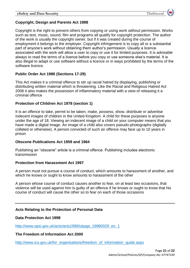# **Copyright, Design and Parents Act 1988**

Copyright is the right to prevent others from copying or using work without permission. Works such as text, music, sound, film and programs all qualify for copyright protection. The author of the work is usually the copyright owner, but if it was created during the course of employment it belongs to the employer. Copyright infringement is to copy all or a substantial part of anyone's work without obtaining them author's permission. Usually a licence associated with the work will allow a user to copy or use it for limited purposes. It is advisable always to read the terms of a licence before you copy or use someone else's material. It is also illegal to adapt or use software without a licence or in ways prohibited by the terms of the software licence.

# **Public Order Act 1986 (Sections 17-29)**

This Act makes it a criminal offence to stir up racial hatred by displaying, publishing or distributing written material which is threatening. Like the Racial and Religious Hatred Act 2006 it also makes the possession of inflammatory material with a view of releasing it a criminal offence

## **Protection of Children Act 1978 (section 1)**

It is an offence to take, permit to be taken, make, possess, show, distribute or advertise indecent images of children in the United Kingdom. A child for these purposes is anyone under the age of 18. Viewing an indecent image of a child on your computer means that you have made a digital image. An image of a child also covers pseudo-photographs (digitally collated or otherwise). A person convicted of such an offence may face up to 10 years in prison

## **Obscene Publications Act 1959 and 1964**

Publishing an "obscene" article is a criminal offence. Publishing includes electronic transmission

# **Protection from Harassment Act 1997**

A person must not pursue a course of conduct, which amounts to harassment of another, and which he knows or ought to know amounts to harassment of the other

A person whose course of conduct causes another to fear, on at least two occasions, that violence will be used against him is guilty of an offence if he knows or ought to know that his course of conduct will cause the other so to fear on each of those occasions

# **Acts Relating to the Protection of Personal Data**

## **Data Protection Act 1998**

[http://www.opsi.gov.uk/acts/acts1998/ukpga\\_19980029\\_en\\_1](http://www.opsi.gov.uk/acts/acts1998/ukpga_19980029_en_1)

## **The Freedom of Information Act 2000**

[http://www.ico.gov.uk/for\\_organisations/freedom\\_of\\_information\\_guide.aspx](http://www.ico.gov.uk/for_organisations/freedom_of_information_guide.aspx)